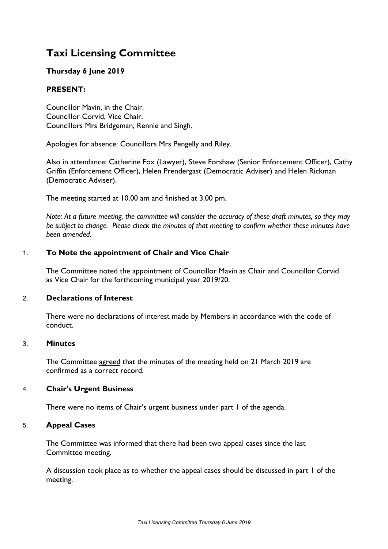# **Taxi Licensing Committee**

# **Thursday 6 June 2019**

# **PRESENT:**

Councillor Mavin, in the Chair. Councillor Corvid, Vice Chair. Councillors Mrs Bridgeman, Rennie and Singh.

Apologies for absence: Councillors Mrs Pengelly and Riley.

Also in attendance: Catherine Fox (Lawyer), Steve Forshaw (Senior Enforcement Officer), Cathy Griffin (Enforcement Officer), Helen Prendergast (Democratic Adviser) and Helen Rickman (Democratic Adviser).

The meeting started at 10.00 am and finished at 3.00 pm.

Note: At a future meeting, the committee will consider the accuracy of these draft minutes, so they may *be subject to change. Please check the minutes of that meeting to confirm whether these minutes have been amended.*

## 1. **To Note the appointment of Chair and Vice Chair**

The Committee noted the appointment of Councillor Mavin as Chair and Councillor Corvid as Vice Chair for the forthcoming municipal year 2019/20.

#### 2. **Declarations of Interest**

There were no declarations of interest made by Members in accordance with the code of conduct.

#### 3. **Minutes**

The Committee agreed that the minutes of the meeting held on 21 March 2019 are confirmed as a correct record.

#### 4. **Chair's Urgent Business**

There were no items of Chair's urgent business under part 1 of the agenda.

#### 5. **Appeal Cases**

The Committee was informed that there had been two appeal cases since the last Committee meeting.

A discussion took place as to whether the appeal cases should be discussed in part 1 of the meeting.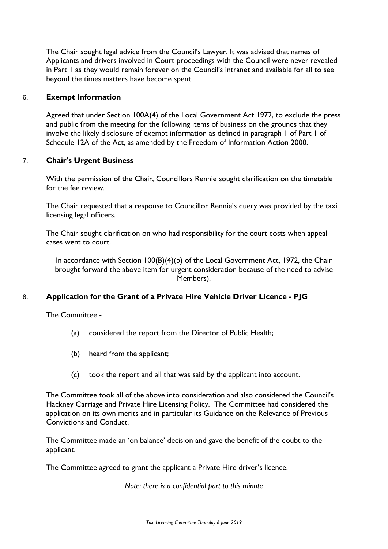The Chair sought legal advice from the Council's Lawyer. It was advised that names of Applicants and drivers involved in Court proceedings with the Council were never revealed in Part 1 as they would remain forever on the Council's intranet and available for all to see beyond the times matters have become spent

#### 6. **Exempt Information**

Agreed that under Section 100A(4) of the Local Government Act 1972, to exclude the press and public from the meeting for the following items of business on the grounds that they involve the likely disclosure of exempt information as defined in paragraph 1 of Part 1 of Schedule 12A of the Act, as amended by the Freedom of Information Action 2000.

#### 7. **Chair's Urgent Business**

With the permission of the Chair, Councillors Rennie sought clarification on the timetable for the fee review.

The Chair requested that a response to Councillor Rennie's query was provided by the taxi licensing legal officers.

The Chair sought clarification on who had responsibility for the court costs when appeal cases went to court.

In accordance with Section 100(B)(4)(b) of the Local Government Act, 1972, the Chair brought forward the above item for urgent consideration because of the need to advise Members).

## 8. **Application for the Grant of a Private Hire Vehicle Driver Licence - PJG**

The Committee -

- (a) considered the report from the Director of Public Health;
- (b) heard from the applicant;
- (c) took the report and all that was said by the applicant into account.

The Committee took all of the above into consideration and also considered the Council's Hackney Carriage and Private Hire Licensing Policy. The Committee had considered the application on its own merits and in particular its Guidance on the Relevance of Previous Convictions and Conduct.

The Committee made an 'on balance' decision and gave the benefit of the doubt to the applicant.

The Committee agreed to grant the applicant a Private Hire driver's licence.

*Note: there is a confidential part to this minute*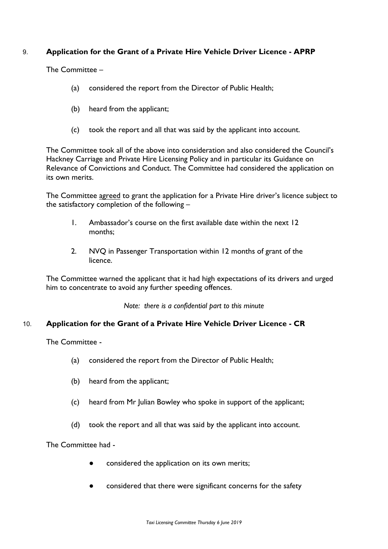# 9. **Application for the Grant of a Private Hire Vehicle Driver Licence - APRP**

The Committee –

- (a) considered the report from the Director of Public Health;
- (b) heard from the applicant;
- (c) took the report and all that was said by the applicant into account.

The Committee took all of the above into consideration and also considered the Council's Hackney Carriage and Private Hire Licensing Policy and in particular its Guidance on Relevance of Convictions and Conduct. The Committee had considered the application on its own merits.

The Committee agreed to grant the application for a Private Hire driver's licence subject to the satisfactory completion of the following –

- 1. Ambassador's course on the first available date within the next 12 months;
- 2. NVQ in Passenger Transportation within 12 months of grant of the licence.

The Committee warned the applicant that it had high expectations of its drivers and urged him to concentrate to avoid any further speeding offences.

*Note: there is a confidential part to this minute*

## 10. **Application for the Grant of a Private Hire Vehicle Driver Licence - CR**

The Committee -

- (a) considered the report from the Director of Public Health;
- (b) heard from the applicant;
- (c) heard from Mr Julian Bowley who spoke in support of the applicant;
- (d) took the report and all that was said by the applicant into account.

The Committee had -

- considered the application on its own merits;
- considered that there were significant concerns for the safety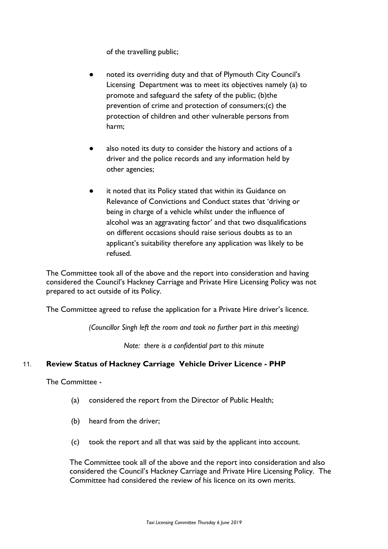of the travelling public;

- noted its overriding duty and that of Plymouth City Council's Licensing Department was to meet its objectives namely (a) to promote and safeguard the safety of the public; (b)the prevention of crime and protection of consumers;(c) the protection of children and other vulnerable persons from harm;
- also noted its duty to consider the history and actions of a driver and the police records and any information held by other agencies;
- it noted that its Policy stated that within its Guidance on Relevance of Convictions and Conduct states that 'driving or being in charge of a vehicle whilst under the influence of alcohol was an aggravating factor' and that two disqualifications on different occasions should raise serious doubts as to an applicant's suitability therefore any application was likely to be refused.

The Committee took all of the above and the report into consideration and having considered the Council's Hackney Carriage and Private Hire Licensing Policy was not prepared to act outside of its Policy.

The Committee agreed to refuse the application for a Private Hire driver's licence.

*(Councillor Singh left the room and took no further part in this meeting)*

*Note: there is a confidential part to this minute*

## 11. **Review Status of Hackney Carriage Vehicle Driver Licence - PHP**

The Committee -

- (a) considered the report from the Director of Public Health;
- (b) heard from the driver;
- (c) took the report and all that was said by the applicant into account.

The Committee took all of the above and the report into consideration and also considered the Council's Hackney Carriage and Private Hire Licensing Policy. The Committee had considered the review of his licence on its own merits.